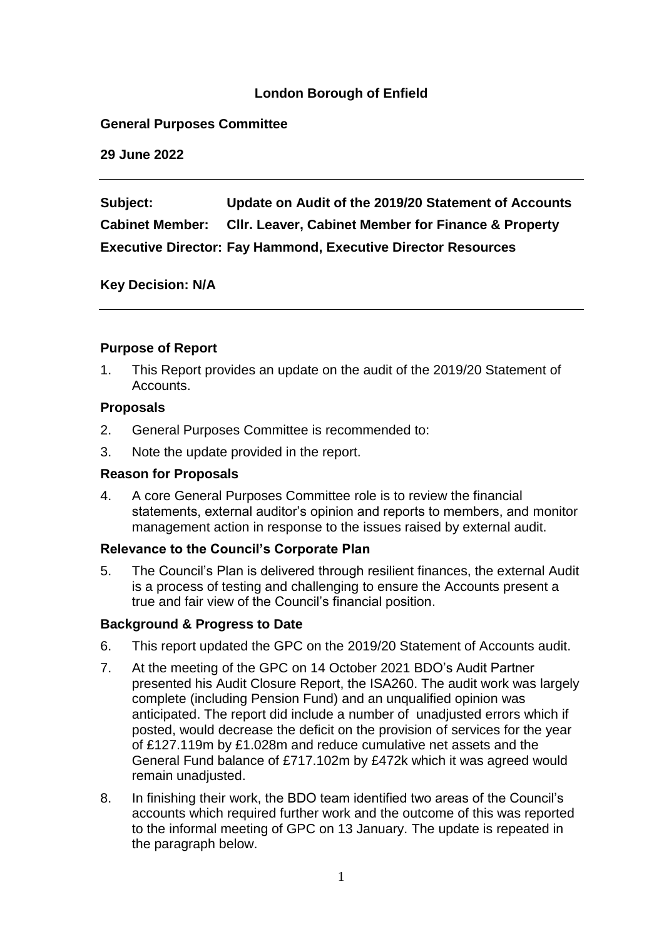## **London Borough of Enfield**

#### **General Purposes Committee**

**29 June 2022**

**Subject: Update on Audit of the 2019/20 Statement of Accounts Cabinet Member: Cllr. Leaver, Cabinet Member for Finance & Property Executive Director: Fay Hammond, Executive Director Resources** 

**Key Decision: N/A** 

### **Purpose of Report**

1. This Report provides an update on the audit of the 2019/20 Statement of Accounts.

### **Proposals**

- 2. General Purposes Committee is recommended to:
- 3. Note the update provided in the report.

## **Reason for Proposals**

4. A core General Purposes Committee role is to review the financial statements, external auditor's opinion and reports to members, and monitor management action in response to the issues raised by external audit.

#### **Relevance to the Council's Corporate Plan**

5. The Council's Plan is delivered through resilient finances, the external Audit is a process of testing and challenging to ensure the Accounts present a true and fair view of the Council's financial position.

# **Background & Progress to Date**

- 6. This report updated the GPC on the 2019/20 Statement of Accounts audit.
- 7. At the meeting of the GPC on 14 October 2021 BDO's Audit Partner presented his Audit Closure Report, the ISA260. The audit work was largely complete (including Pension Fund) and an unqualified opinion was anticipated. The report did include a number of unadjusted errors which if posted, would decrease the deficit on the provision of services for the year of £127.119m by £1.028m and reduce cumulative net assets and the General Fund balance of £717.102m by £472k which it was agreed would remain unadjusted.
- 8. In finishing their work, the BDO team identified two areas of the Council's accounts which required further work and the outcome of this was reported to the informal meeting of GPC on 13 January. The update is repeated in the paragraph below.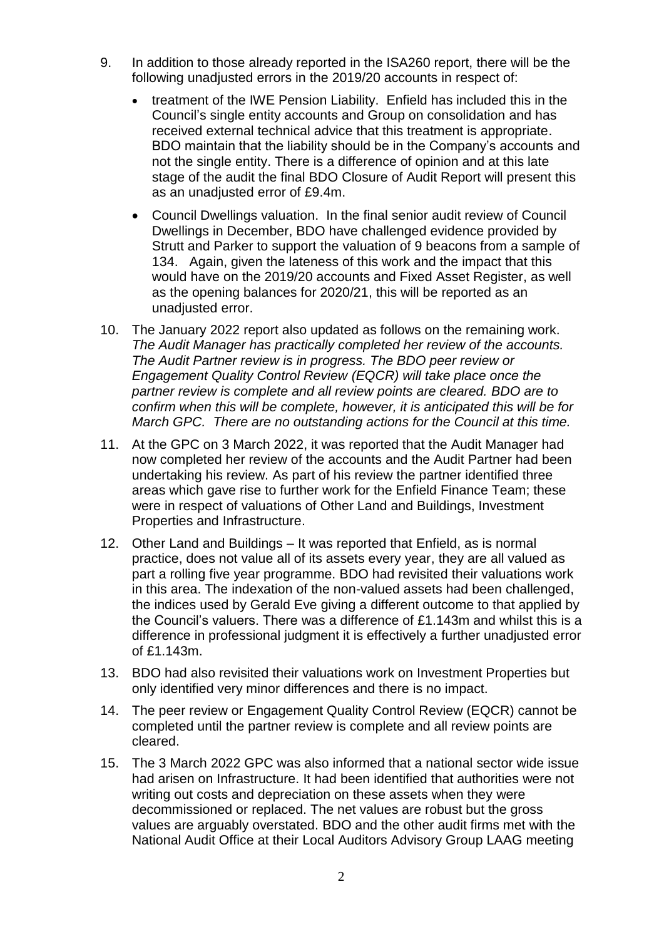- 9. In addition to those already reported in the ISA260 report, there will be the following unadjusted errors in the 2019/20 accounts in respect of:
	- treatment of the IWE Pension Liability. Enfield has included this in the Council's single entity accounts and Group on consolidation and has received external technical advice that this treatment is appropriate. BDO maintain that the liability should be in the Company's accounts and not the single entity. There is a difference of opinion and at this late stage of the audit the final BDO Closure of Audit Report will present this as an unadjusted error of £9.4m.
	- Council Dwellings valuation. In the final senior audit review of Council Dwellings in December, BDO have challenged evidence provided by Strutt and Parker to support the valuation of 9 beacons from a sample of 134. Again, given the lateness of this work and the impact that this would have on the 2019/20 accounts and Fixed Asset Register, as well as the opening balances for 2020/21, this will be reported as an unadjusted error.
- 10. The January 2022 report also updated as follows on the remaining work. *The Audit Manager has practically completed her review of the accounts. The Audit Partner review is in progress. The BDO peer review or Engagement Quality Control Review (EQCR) will take place once the partner review is complete and all review points are cleared. BDO are to confirm when this will be complete, however, it is anticipated this will be for March GPC. There are no outstanding actions for the Council at this time.*
- 11. At the GPC on 3 March 2022, it was reported that the Audit Manager had now completed her review of the accounts and the Audit Partner had been undertaking his review. As part of his review the partner identified three areas which gave rise to further work for the Enfield Finance Team; these were in respect of valuations of Other Land and Buildings, Investment Properties and Infrastructure.
- 12. Other Land and Buildings It was reported that Enfield, as is normal practice, does not value all of its assets every year, they are all valued as part a rolling five year programme. BDO had revisited their valuations work in this area. The indexation of the non-valued assets had been challenged, the indices used by Gerald Eve giving a different outcome to that applied by the Council's valuers. There was a difference of £1.143m and whilst this is a difference in professional judgment it is effectively a further unadjusted error of £1.143m.
- 13. BDO had also revisited their valuations work on Investment Properties but only identified very minor differences and there is no impact.
- 14. The peer review or Engagement Quality Control Review (EQCR) cannot be completed until the partner review is complete and all review points are cleared.
- 15. The 3 March 2022 GPC was also informed that a national sector wide issue had arisen on Infrastructure. It had been identified that authorities were not writing out costs and depreciation on these assets when they were decommissioned or replaced. The net values are robust but the gross values are arguably overstated. BDO and the other audit firms met with the National Audit Office at their Local Auditors Advisory Group LAAG meeting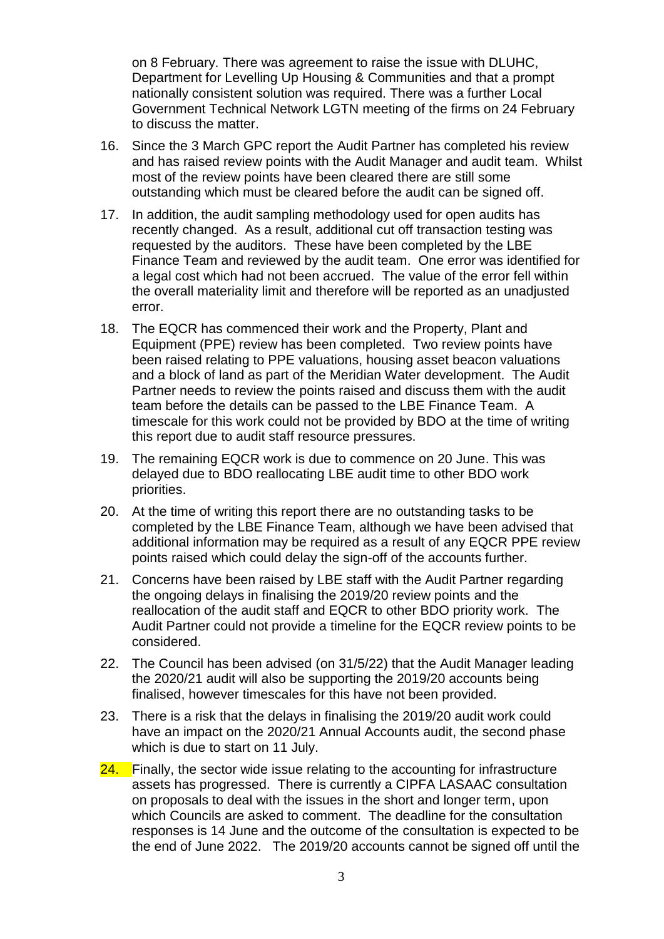on 8 February. There was agreement to raise the issue with DLUHC, Department for Levelling Up Housing & Communities and that a prompt nationally consistent solution was required. There was a further Local Government Technical Network LGTN meeting of the firms on 24 February to discuss the matter.

- 16. Since the 3 March GPC report the Audit Partner has completed his review and has raised review points with the Audit Manager and audit team. Whilst most of the review points have been cleared there are still some outstanding which must be cleared before the audit can be signed off.
- 17. In addition, the audit sampling methodology used for open audits has recently changed. As a result, additional cut off transaction testing was requested by the auditors. These have been completed by the LBE Finance Team and reviewed by the audit team. One error was identified for a legal cost which had not been accrued. The value of the error fell within the overall materiality limit and therefore will be reported as an unadjusted error.
- 18. The EQCR has commenced their work and the Property, Plant and Equipment (PPE) review has been completed. Two review points have been raised relating to PPE valuations, housing asset beacon valuations and a block of land as part of the Meridian Water development. The Audit Partner needs to review the points raised and discuss them with the audit team before the details can be passed to the LBE Finance Team. A timescale for this work could not be provided by BDO at the time of writing this report due to audit staff resource pressures.
- 19. The remaining EQCR work is due to commence on 20 June. This was delayed due to BDO reallocating LBE audit time to other BDO work priorities.
- 20. At the time of writing this report there are no outstanding tasks to be completed by the LBE Finance Team, although we have been advised that additional information may be required as a result of any EQCR PPE review points raised which could delay the sign-off of the accounts further.
- 21. Concerns have been raised by LBE staff with the Audit Partner regarding the ongoing delays in finalising the 2019/20 review points and the reallocation of the audit staff and EQCR to other BDO priority work. The Audit Partner could not provide a timeline for the EQCR review points to be considered.
- 22. The Council has been advised (on 31/5/22) that the Audit Manager leading the 2020/21 audit will also be supporting the 2019/20 accounts being finalised, however timescales for this have not been provided.
- 23. There is a risk that the delays in finalising the 2019/20 audit work could have an impact on the 2020/21 Annual Accounts audit, the second phase which is due to start on 11 July.
- 24. Finally, the sector wide issue relating to the accounting for infrastructure assets has progressed. There is currently a CIPFA LASAAC consultation on proposals to deal with the issues in the short and longer term, upon which Councils are asked to comment. The deadline for the consultation responses is 14 June and the outcome of the consultation is expected to be the end of June 2022. The 2019/20 accounts cannot be signed off until the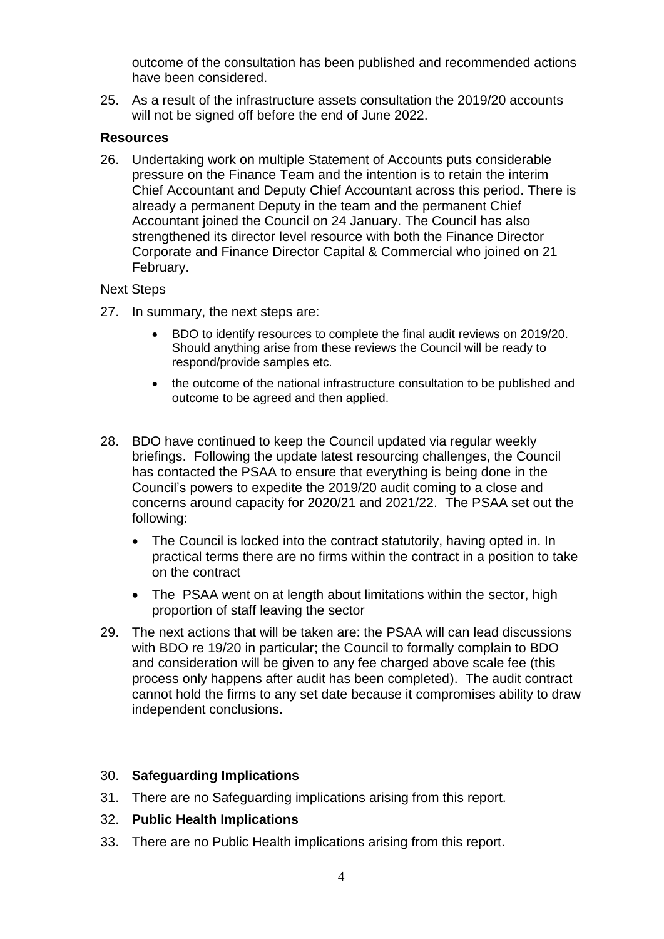outcome of the consultation has been published and recommended actions have been considered.

25. As a result of the infrastructure assets consultation the 2019/20 accounts will not be signed off before the end of June 2022.

### **Resources**

26. Undertaking work on multiple Statement of Accounts puts considerable pressure on the Finance Team and the intention is to retain the interim Chief Accountant and Deputy Chief Accountant across this period. There is already a permanent Deputy in the team and the permanent Chief Accountant joined the Council on 24 January. The Council has also strengthened its director level resource with both the Finance Director Corporate and Finance Director Capital & Commercial who joined on 21 February.

#### Next Steps

- 27. In summary, the next steps are:
	- BDO to identify resources to complete the final audit reviews on 2019/20. Should anything arise from these reviews the Council will be ready to respond/provide samples etc.
	- the outcome of the national infrastructure consultation to be published and outcome to be agreed and then applied.
- 28. BDO have continued to keep the Council updated via regular weekly briefings. Following the update latest resourcing challenges, the Council has contacted the PSAA to ensure that everything is being done in the Council's powers to expedite the 2019/20 audit coming to a close and concerns around capacity for 2020/21 and 2021/22. The PSAA set out the following:
	- The Council is locked into the contract statutorily, having opted in. In practical terms there are no firms within the contract in a position to take on the contract
	- The PSAA went on at length about limitations within the sector, high proportion of staff leaving the sector
- 29. The next actions that will be taken are: the PSAA will can lead discussions with BDO re 19/20 in particular; the Council to formally complain to BDO and consideration will be given to any fee charged above scale fee (this process only happens after audit has been completed). The audit contract cannot hold the firms to any set date because it compromises ability to draw independent conclusions.

# 30. **Safeguarding Implications**

31. There are no Safeguarding implications arising from this report.

#### 32. **Public Health Implications**

33. There are no Public Health implications arising from this report.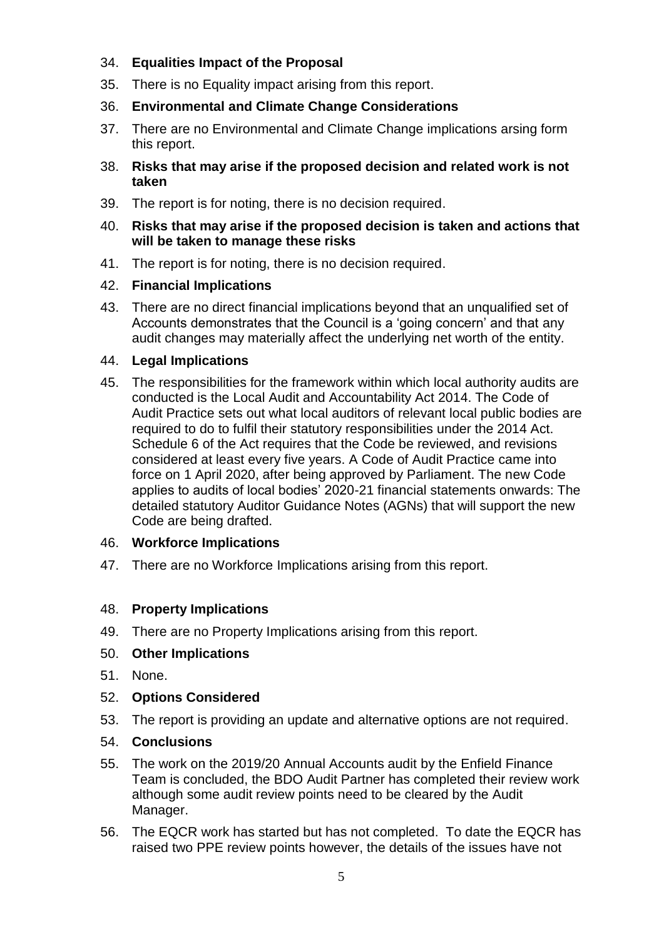# 34. **Equalities Impact of the Proposal**

- 35. There is no Equality impact arising from this report.
- 36. **Environmental and Climate Change Considerations**
- 37. There are no Environmental and Climate Change implications arsing form this report.
- 38. **Risks that may arise if the proposed decision and related work is not taken**
- 39. The report is for noting, there is no decision required.
- 40. **Risks that may arise if the proposed decision is taken and actions that will be taken to manage these risks**
- 41. The report is for noting, there is no decision required.

# 42. **Financial Implications**

43. There are no direct financial implications beyond that an unqualified set of Accounts demonstrates that the Council is a 'going concern' and that any audit changes may materially affect the underlying net worth of the entity.

### 44. **Legal Implications**

45. The responsibilities for the framework within which local authority audits are conducted is the Local Audit and Accountability Act 2014. The Code of Audit Practice sets out what local auditors of relevant local public bodies are required to do to fulfil their statutory responsibilities under the 2014 Act. Schedule 6 of the Act requires that the Code be reviewed, and revisions considered at least every five years. A Code of Audit Practice came into force on 1 April 2020, after being approved by Parliament. The new Code applies to audits of local bodies' 2020-21 financial statements onwards: The detailed statutory Auditor Guidance Notes (AGNs) that will support the new Code are being drafted.

# 46. **Workforce Implications**

47. There are no Workforce Implications arising from this report.

# 48. **Property Implications**

- 49. There are no Property Implications arising from this report.
- 50. **Other Implications**
- 51. None.
- 52. **Options Considered**
- 53. The report is providing an update and alternative options are not required.

#### 54. **Conclusions**

- 55. The work on the 2019/20 Annual Accounts audit by the Enfield Finance Team is concluded, the BDO Audit Partner has completed their review work although some audit review points need to be cleared by the Audit Manager.
- 56. The EQCR work has started but has not completed. To date the EQCR has raised two PPE review points however, the details of the issues have not